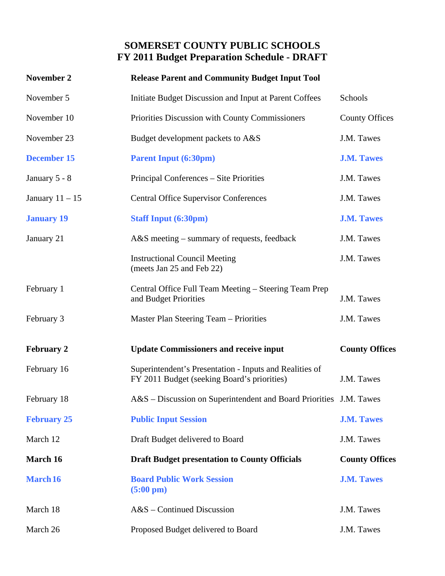## **SOMERSET COUNTY PUBLIC SCHOOLS FY 2011 Budget Preparation Schedule - DRAFT**

| November 2         | <b>Release Parent and Community Budget Input Tool</b>                                                  |                       |
|--------------------|--------------------------------------------------------------------------------------------------------|-----------------------|
| November 5         | Initiate Budget Discussion and Input at Parent Coffees                                                 | Schools               |
| November 10        | Priorities Discussion with County Commissioners                                                        | <b>County Offices</b> |
| November 23        | Budget development packets to A&S                                                                      | J.M. Tawes            |
| <b>December 15</b> | <b>Parent Input (6:30pm)</b>                                                                           | <b>J.M. Tawes</b>     |
| January 5 - 8      | Principal Conferences – Site Priorities                                                                | J.M. Tawes            |
| January $11 - 15$  | <b>Central Office Supervisor Conferences</b>                                                           | J.M. Tawes            |
| <b>January 19</b>  | <b>Staff Input (6:30pm)</b>                                                                            | <b>J.M. Tawes</b>     |
| January 21         | $A&S$ meeting – summary of requests, feedback                                                          | J.M. Tawes            |
|                    | <b>Instructional Council Meeting</b><br>(meets Jan 25 and Feb 22)                                      | J.M. Tawes            |
| February 1         | Central Office Full Team Meeting – Steering Team Prep<br>and Budget Priorities                         | J.M. Tawes            |
| February 3         | Master Plan Steering Team – Priorities                                                                 | J.M. Tawes            |
| <b>February 2</b>  | <b>Update Commissioners and receive input</b>                                                          | <b>County Offices</b> |
| February 16        | Superintendent's Presentation - Inputs and Realities of<br>FY 2011 Budget (seeking Board's priorities) | J.M. Tawes            |
| February 18        | A&S – Discussion on Superintendent and Board Priorities J.M. Tawes                                     |                       |
| <b>February 25</b> | <b>Public Input Session</b>                                                                            | <b>J.M. Tawes</b>     |
| March 12           | Draft Budget delivered to Board                                                                        | J.M. Tawes            |
| March 16           | <b>Draft Budget presentation to County Officials</b>                                                   | <b>County Offices</b> |
| <b>March 16</b>    | <b>Board Public Work Session</b><br>$(5:00 \text{ pm})$                                                | <b>J.M. Tawes</b>     |
| March 18           | $A&S$ – Continued Discussion                                                                           | J.M. Tawes            |
|                    |                                                                                                        |                       |